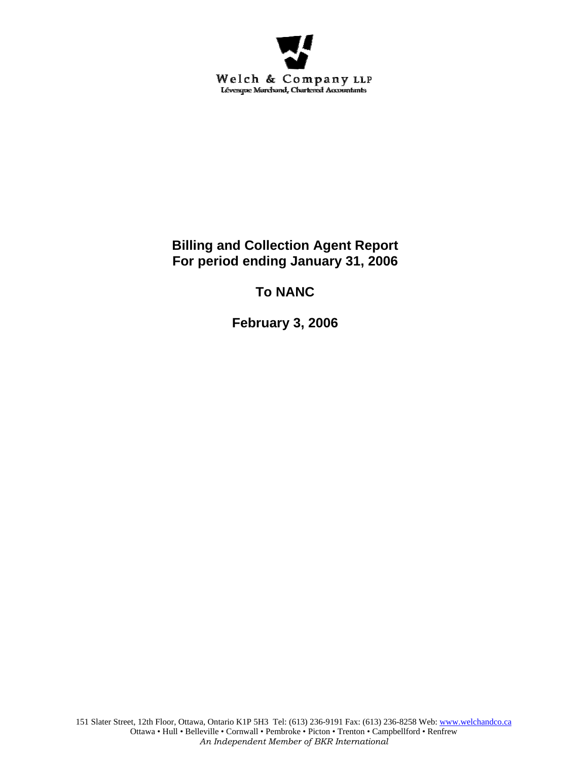

**Billing and Collection Agent Report For period ending January 31, 2006** 

**To NANC** 

**February 3, 2006**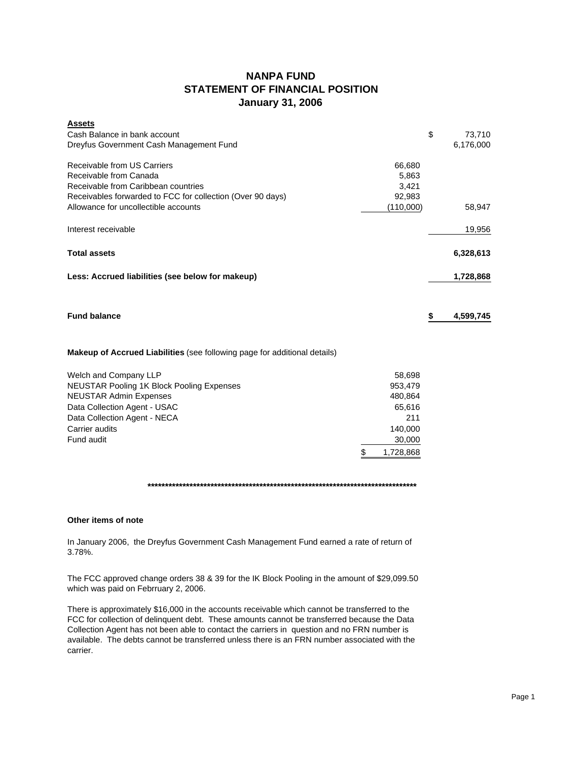# **NANPA FUND STATEMENT OF FINANCIAL POSITION January 31, 2006**

| <b>Assets</b>                                                                    |           |                 |
|----------------------------------------------------------------------------------|-----------|-----------------|
| Cash Balance in bank account                                                     |           | \$<br>73,710    |
| Dreyfus Government Cash Management Fund                                          |           | 6,176,000       |
| Receivable from US Carriers                                                      | 66,680    |                 |
| Receivable from Canada                                                           | 5,863     |                 |
| Receivable from Caribbean countries                                              | 3,421     |                 |
| Receivables forwarded to FCC for collection (Over 90 days)                       | 92,983    |                 |
| Allowance for uncollectible accounts                                             | (110,000) | 58,947          |
| Interest receivable                                                              |           | 19,956          |
| <b>Total assets</b>                                                              |           | 6,328,613       |
| Less: Accrued liabilities (see below for makeup)                                 |           | 1,728,868       |
|                                                                                  |           |                 |
| <b>Fund balance</b>                                                              |           | \$<br>4,599,745 |
| <b>Makeup of Accrued Liabilities</b> (see following page for additional details) |           |                 |
| Welch and Company LLP                                                            | 58,698    |                 |

| NEUSTAR Pooling 1K Block Pooling Expenses | 953.479   |
|-------------------------------------------|-----------|
| <b>NEUSTAR Admin Expenses</b>             | 480.864   |
| Data Collection Agent - USAC              | 65,616    |
| Data Collection Agent - NECA              | 211       |
| Carrier audits                            | 140.000   |
| Fund audit                                | 30,000    |
|                                           | 1.728.868 |

**\*\*\*\*\*\*\*\*\*\*\*\*\*\*\*\*\*\*\*\*\*\*\*\*\*\*\*\*\*\*\*\*\*\*\*\*\*\*\*\*\*\*\*\*\*\*\*\*\*\*\*\*\*\*\*\*\*\*\*\*\*\*\*\*\*\*\*\*\*\*\*\*\*\*\*\*\***

## **Other items of note**

In January 2006, the Dreyfus Government Cash Management Fund earned a rate of return of 3.78%.

The FCC approved change orders 38 & 39 for the IK Block Pooling in the amount of \$29,099.50 which was paid on Febrruary 2, 2006.

There is approximately \$16,000 in the accounts receivable which cannot be transferred to the FCC for collection of delinquent debt. These amounts cannot be transferred because the Data Collection Agent has not been able to contact the carriers in question and no FRN number is available. The debts cannot be transferred unless there is an FRN number associated with the carrier.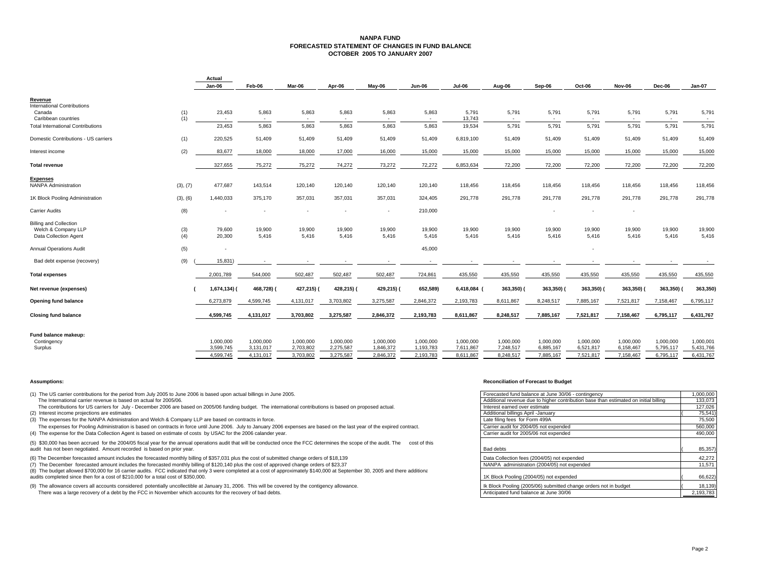### **NANPA FUND FORECASTED STATEMENT OF CHANGES IN FUND BALANCEOCTOBER 2005 TO JANUARY 2007**

|                                          |          | Actual                 |                        |                        |                        |                        |                        |                        |                        |                        |                        |                        |                        |                        |
|------------------------------------------|----------|------------------------|------------------------|------------------------|------------------------|------------------------|------------------------|------------------------|------------------------|------------------------|------------------------|------------------------|------------------------|------------------------|
|                                          |          | Jan-06                 | Feb-06                 | Mar-06                 | Apr-06                 | May-06                 | <b>Jun-06</b>          | Jul-06                 | Aug-06                 | Sep-06                 | Oct-06                 | Nov-06                 | Dec-06                 | Jan-07                 |
| Revenue                                  |          |                        |                        |                        |                        |                        |                        |                        |                        |                        |                        |                        |                        |                        |
| <b>International Contributions</b>       |          |                        |                        |                        |                        |                        |                        |                        |                        |                        |                        |                        |                        |                        |
| Canada                                   | (1)      | 23,453                 | 5,863                  | 5,863                  | 5,863                  | 5,863                  | 5,863                  | 5,791                  | 5,791                  | 5,791                  | 5,791                  | 5,791                  | 5,791                  | 5,791                  |
| Caribbean countries                      | (1)      | $\sim$                 | $\sim$                 | $\sim$                 | $\sim$                 | $\sim$                 |                        | 13,743                 | $\sim$                 | $\sim$                 |                        |                        |                        | $\sim$                 |
| <b>Total International Contributions</b> |          | 23,453                 | 5,863                  | 5,863                  | 5,863                  | 5,863                  | 5,863                  | 19,534                 | 5,791                  | 5,791                  | 5,791                  | 5,791                  | 5,791                  | 5,791                  |
| Domestic Contributions - US carriers     | (1)      | 220,525                | 51,409                 | 51,409                 | 51,409                 | 51,409                 | 51,409                 | 6,819,100              | 51,409                 | 51,409                 | 51,409                 | 51,409                 | 51,409                 | 51,409                 |
| Interest income                          | (2)      | 83,677                 | 18,000                 | 18,000                 | 17,000                 | 16,000                 | 15,000                 | 15,000                 | 15,000                 | 15,000                 | 15,000                 | 15,000                 | 15,000                 | 15,000                 |
| <b>Total revenue</b>                     |          | 327,655                | 75,272                 | 75,272                 | 74,272                 | 73,272                 | 72,272                 | 6,853,634              | 72,200                 | 72,200                 | 72,200                 | 72,200                 | 72,200                 | 72,200                 |
| <b>Expenses</b>                          |          |                        |                        |                        |                        |                        |                        |                        |                        |                        |                        |                        |                        |                        |
| <b>NANPA Administration</b>              | (3), (7) | 477,687                | 143,514                | 120,140                | 120,140                | 120,140                | 120,140                | 118,456                | 118,456                | 118,456                | 118,456                | 118,456                | 118,456                | 118,456                |
| 1K Block Pooling Administration          | (3), (6) | 1,440,033              | 375,170                | 357,031                | 357,031                | 357,031                | 324,405                | 291,778                | 291,778                | 291,778                | 291,778                | 291,778                | 291,778                | 291,778                |
| <b>Carrier Audits</b>                    | (8)      |                        |                        |                        |                        | ٠                      | 210,000                |                        |                        |                        |                        |                        |                        |                        |
| <b>Billing and Collection</b>            |          |                        |                        |                        |                        |                        |                        |                        |                        |                        |                        |                        |                        |                        |
| Welch & Company LLP                      | (3)      | 79,600                 | 19,900                 | 19,900                 | 19,900                 | 19,900                 | 19,900                 | 19,900                 | 19,900                 | 19,900                 | 19,900                 | 19,900                 | 19,900                 | 19,900                 |
| Data Collection Agent                    | (4)      | 20,300                 | 5,416                  | 5,416                  | 5,416                  | 5.416                  | 5.416                  | 5.416                  | 5,416                  | 5.416                  | 5.416                  | 5.416                  | 5,416                  | 5,416                  |
| <b>Annual Operations Audit</b>           | (5)      | ٠                      |                        |                        |                        |                        | 45,000                 |                        |                        |                        |                        |                        |                        |                        |
| Bad debt expense (recovery)              | (9)      | 15,831)                |                        |                        |                        |                        |                        |                        |                        |                        |                        |                        |                        |                        |
| <b>Total expenses</b>                    |          | 2,001,789              | 544,000                | 502,487                | 502,487                | 502,487                | 724,861                | 435,550                | 435,550                | 435,550                | 435,550                | 435,550                | 435,550                | 435,550                |
| Net revenue (expenses)                   |          | 1,674,134) (           | 468,728) (             | 427,215) (             | 428,215) (             | 429,215) (             | 652,589)               | 6,418,084 (            | 363,350) (             | 363,350)               | 363,350) (             | 363,350)               | 363,350)               | 363,350)               |
| <b>Opening fund balance</b>              |          | 6,273,879              | 4,599,745              | 4,131,017              | 3,703,802              | 3,275,587              | 2,846,372              | 2,193,783              | 8,611,867              | 8,248,517              | 7,885,167              | 7,521,817              | 7,158,467              | 6,795,117              |
| <b>Closing fund balance</b>              |          | 4,599,745              | 4,131,017              | 3,703,802              | 3,275,587              | 2,846,372              | 2,193,783              | 8,611,867              | 8,248,517              | 7,885,167              | 7,521,817              | 7,158,467              | 6,795,117              | 6,431,767              |
|                                          |          |                        |                        |                        |                        |                        |                        |                        |                        |                        |                        |                        |                        |                        |
| Fund balance makeup:                     |          |                        |                        |                        |                        |                        |                        |                        |                        |                        |                        |                        |                        |                        |
| Contingency<br>Surplus                   |          | 1,000,000<br>3,599,745 | 1,000,000<br>3,131,017 | 1,000,000<br>2,703,802 | 1,000,000<br>2,275,587 | 1,000,000<br>1,846,372 | 1,000,000<br>1,193,783 | 1,000,000<br>7,611,867 | 1,000,000<br>7,248,517 | 1,000,000<br>6,885,167 | 1,000,000<br>6,521,817 | 1,000,000<br>6,158,467 | 1,000,000<br>5,795,117 | 1,000,001<br>5,431,766 |
|                                          |          | 4,599,745              | 4,131,017              | 3,703,802              | 3,275,587              | 2,846,372              | 2,193,783              | 8,611,867              | 8,248,517              | 7,885,167              | 7,521,817              | 7,158,467              | 6,795,117              | 6,431,767              |
|                                          |          |                        |                        |                        |                        |                        |                        |                        |                        |                        |                        |                        |                        |                        |

(1) The US carrier contributions for the period from July 2005 to June 2006 is based upon actual billings in June 2005. The International carrier revenue is based on actual for 2005/06.

The contributions for US carriers for July - December 2006 are based on 2005/06 funding budget. The international contributions is based on proposed actual. (2) Interest income projections are estimates

(3) The expenses for the NANPA Administration and Welch & Company LLP are based on contracts in force.

The expenses for Pooling Administration is based on contracts in force until June 2006. July to January 2006 expenses are based on the last year of the expired contract. (4) The expense for the Data Collection Agent is based on estimate of costs by USAC for the 2006 calander year.

(5) \$30,000 has been accrued for the 2004/05 fiscal year for the annual operations audit that will be conducted once the FCC determines the scope of the audit. The cost of this audit has not been negotiated. Amount recorded is based on prior year.

(6) The December forecasted amount includes the forecasted monthly billing of \$357,031 plus the cost of submitted change orders of \$18,139

(7) The December forecasted amount includes the forecasted monthly billing of \$120,140 plus the cost of approved change orders of \$23,37

(8) The budget allowed \$700,000 for 16 carrier audits. FCC indicated that only 3 were completed at a cost of approximately \$140,000 at September 30, 2005 and there additionally \$100,000 at September 30, 2005 and there addi audits completed since then for a cost of \$210,000 for a total cost of \$350,000.

(9) The allowance covers all accounts considered potentially uncollectible at January 31, 2006. This will be covered by the contigency allowance.

There was a large recovery of a debt by the FCC in November which accounts for the recovery of bad debts.

### **Assumptions: Reconciliation of Forecast to Budget**

| ne 2006 is based upon actual billings in June 2005.                                                            | Forecasted fund balance at June 30/06 - contingency                                  | 1,000,000 |
|----------------------------------------------------------------------------------------------------------------|--------------------------------------------------------------------------------------|-----------|
|                                                                                                                | Additional revenue due to higher contribution base than estimated on initial billing | 133,073   |
| based on 2005/06 funding budget. The international contributions is based on proposed actual.                  | Interest earned over estimate                                                        | 127,026   |
|                                                                                                                | Additional billings April -January                                                   | 75,541)   |
| pany LLP are based on contracts in force.                                                                      | Late filing fees for Form 499A                                                       | 75,500    |
| n force until June 2006. July to January 2006 expenses are based on the last year of the expired contract.     | Carrier audit for 2004/05 not expended                                               | 560,000   |
| of costs by USAC for the 2006 calander year.                                                                   | Carrier audit for 2005/06 not expended                                               | 490,000   |
| nnual operations audit that will be conducted once the FCC determines the scope of the audit. The cost of this |                                                                                      |           |
| year.                                                                                                          | Bad debts                                                                            | 85,357)   |
| hly billing of \$357,031 plus the cost of submitted change orders of \$18,139                                  | Data Collection fees (2004/05) not expended                                          | 42,272    |
| thly billing of \$120,140 plus the cost of approved change orders of \$23,37                                   | NANPA administration (2004/05) not expended                                          | 11,571    |
| ed that only 3 were completed at a cost of approximately \$140,000 at September 30, 2005 and there additional  |                                                                                      |           |
| f \$350,000.                                                                                                   | 1K Block Pooling (2004/05) not expended                                              | 66,622)   |
| llectible at January 31, 2006. This will be covered by the contigency allowance.                               | Ik Block Pooling (2005/06) submitted change orders not in budget                     | 18,139)   |
| which accounts for the recovery of bad debts.                                                                  | Anticipated fund balance at June 30/06                                               | 2,193,783 |
|                                                                                                                |                                                                                      |           |